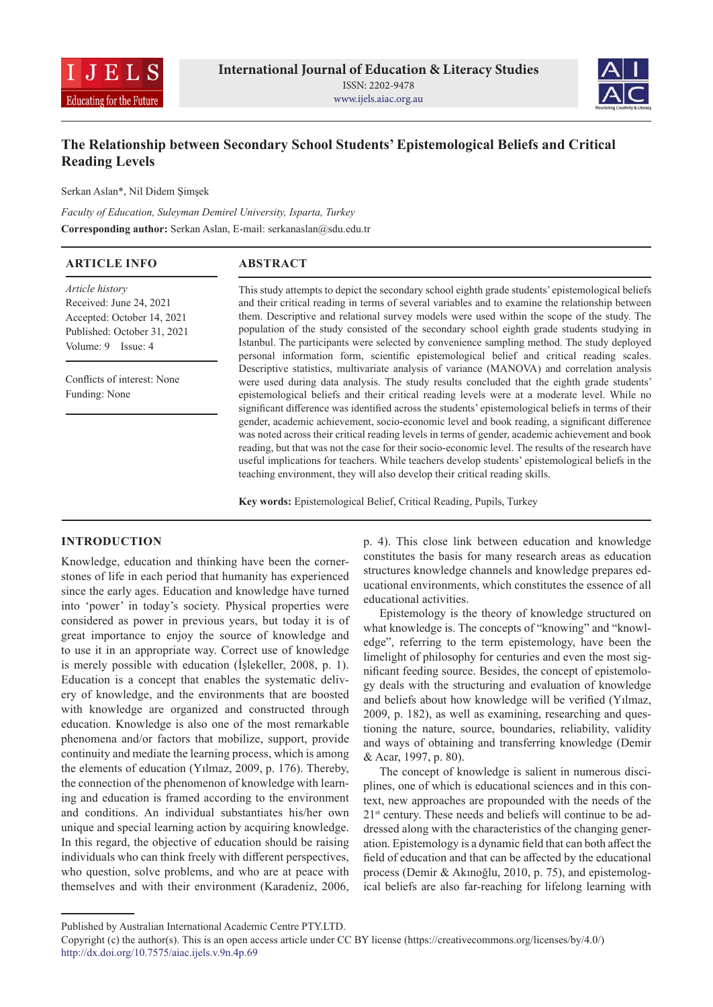



# **The Relationship between Secondary School Students' Epistemological Beliefs and Critical Reading Levels**

Serkan Aslan\*, Nil Didem Şimşek

*Faculty of Education, Suleyman Demirel University, Isparta, Turkey*  **Corresponding author:** Serkan Aslan, E-mail: serkanaslan@sdu.edu.tr

| <b>ARTICLE INFO</b>                                                      | <b>ABSTRACT</b>                                                                                                                                                                                                                                                                                                                                                                                                                                                                              |
|--------------------------------------------------------------------------|----------------------------------------------------------------------------------------------------------------------------------------------------------------------------------------------------------------------------------------------------------------------------------------------------------------------------------------------------------------------------------------------------------------------------------------------------------------------------------------------|
| Article history<br>Received: June 24, 2021<br>Accepted: October 14, 2021 | This study attempts to depict the secondary school eighth grade students' epistemological beliefs<br>and their critical reading in terms of several variables and to examine the relationship between<br>them. Descriptive and relational survey models were used within the scope of the study. The                                                                                                                                                                                         |
| Published: October 31, 2021<br>Volume: 9 Issue: 4                        | population of the study consisted of the secondary school eighth grade students studying in<br>Istanbul. The participants were selected by convenience sampling method. The study deployed<br>personal information form, scientific epistemological belief and critical reading scales.                                                                                                                                                                                                      |
| Conflicts of interest: None<br>Funding: None                             | Descriptive statistics, multivariate analysis of variance (MANOVA) and correlation analysis<br>were used during data analysis. The study results concluded that the eighth grade students'<br>epistemological beliefs and their critical reading levels were at a moderate level. While no<br>significant difference was identified across the students' epistemological beliefs in terms of their                                                                                           |
|                                                                          | gender, academic achievement, socio-economic level and book reading, a significant difference<br>was noted across their critical reading levels in terms of gender, academic achievement and book<br>reading, but that was not the case for their socio-economic level. The results of the research have<br>useful implications for teachers. While teachers develop students' epistemological beliefs in the<br>teaching environment, they will also develop their critical reading skills. |

**Key words:** Epistemological Belief, Critical Reading, Pupils, Turkey

### **INTRODUCTION**

Knowledge, education and thinking have been the cornerstones of life in each period that humanity has experienced since the early ages. Education and knowledge have turned into 'power' in today's society. Physical properties were considered as power in previous years, but today it is of great importance to enjoy the source of knowledge and to use it in an appropriate way. Correct use of knowledge is merely possible with education (İşlekeller, 2008, p. 1). Education is a concept that enables the systematic delivery of knowledge, and the environments that are boosted with knowledge are organized and constructed through education. Knowledge is also one of the most remarkable phenomena and/or factors that mobilize, support, provide continuity and mediate the learning process, which is among the elements of education (Yılmaz, 2009, p. 176). Thereby, the connection of the phenomenon of knowledge with learning and education is framed according to the environment and conditions. An individual substantiates his/her own unique and special learning action by acquiring knowledge. In this regard, the objective of education should be raising individuals who can think freely with different perspectives, who question, solve problems, and who are at peace with themselves and with their environment (Karadeniz, 2006,

p. 4). This close link between education and knowledge constitutes the basis for many research areas as education structures knowledge channels and knowledge prepares educational environments, which constitutes the essence of all educational activities.

Epistemology is the theory of knowledge structured on what knowledge is. The concepts of "knowing" and "knowledge", referring to the term epistemology, have been the limelight of philosophy for centuries and even the most significant feeding source. Besides, the concept of epistemology deals with the structuring and evaluation of knowledge and beliefs about how knowledge will be verified (Yılmaz, 2009, p. 182), as well as examining, researching and questioning the nature, source, boundaries, reliability, validity and ways of obtaining and transferring knowledge (Demir & Acar, 1997, p. 80).

The concept of knowledge is salient in numerous disciplines, one of which is educational sciences and in this context, new approaches are propounded with the needs of the  $21<sup>st</sup>$  century. These needs and beliefs will continue to be addressed along with the characteristics of the changing generation. Epistemology is a dynamic field that can both affect the field of education and that can be affected by the educational process (Demir & Akınoğlu, 2010, p. 75), and epistemological beliefs are also far-reaching for lifelong learning with

Published by Australian International Academic Centre PTY.LTD.

Copyright (c) the author(s). This is an open access article under CC BY license (https://creativecommons.org/licenses/by/4.0/) http://dx.doi.org/10.7575/aiac.ijels.v.9n.4p.69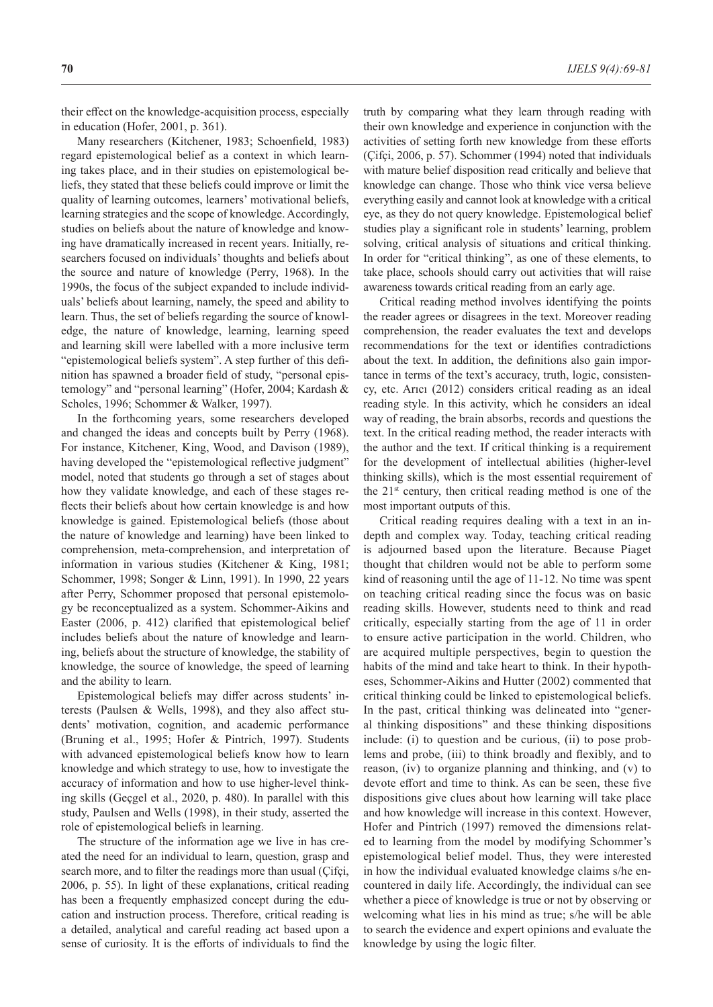their effect on the knowledge-acquisition process, especially in education (Hofer, 2001, p. 361).

Many researchers (Kitchener, 1983; Schoenfield, 1983) regard epistemological belief as a context in which learning takes place, and in their studies on epistemological beliefs, they stated that these beliefs could improve or limit the quality of learning outcomes, learners' motivational beliefs, learning strategies and the scope of knowledge. Accordingly, studies on beliefs about the nature of knowledge and knowing have dramatically increased in recent years. Initially, researchers focused on individuals' thoughts and beliefs about the source and nature of knowledge (Perry, 1968). In the 1990s, the focus of the subject expanded to include individuals' beliefs about learning, namely, the speed and ability to learn. Thus, the set of beliefs regarding the source of knowledge, the nature of knowledge, learning, learning speed and learning skill were labelled with a more inclusive term "epistemological beliefs system". A step further of this definition has spawned a broader field of study, "personal epistemology" and "personal learning" (Hofer, 2004; Kardash & Scholes, 1996; Schommer & Walker, 1997).

In the forthcoming years, some researchers developed and changed the ideas and concepts built by Perry (1968). For instance, Kitchener, King, Wood, and Davison (1989), having developed the "epistemological reflective judgment" model, noted that students go through a set of stages about how they validate knowledge, and each of these stages reflects their beliefs about how certain knowledge is and how knowledge is gained. Epistemological beliefs (those about the nature of knowledge and learning) have been linked to comprehension, meta-comprehension, and interpretation of information in various studies (Kitchener & King, 1981; Schommer, 1998; Songer & Linn, 1991). In 1990, 22 years after Perry, Schommer proposed that personal epistemology be reconceptualized as a system. Schommer-Aikins and Easter (2006, p. 412) clarified that epistemological belief includes beliefs about the nature of knowledge and learning, beliefs about the structure of knowledge, the stability of knowledge, the source of knowledge, the speed of learning and the ability to learn.

Epistemological beliefs may differ across students' interests (Paulsen & Wells, 1998), and they also affect students' motivation, cognition, and academic performance (Bruning et al., 1995; Hofer & Pintrich, 1997). Students with advanced epistemological beliefs know how to learn knowledge and which strategy to use, how to investigate the accuracy of information and how to use higher-level thinking skills (Geçgel et al., 2020, p. 480). In parallel with this study, Paulsen and Wells (1998), in their study, asserted the role of epistemological beliefs in learning.

The structure of the information age we live in has created the need for an individual to learn, question, grasp and search more, and to filter the readings more than usual (Çifçi, 2006, p. 55). In light of these explanations, critical reading has been a frequently emphasized concept during the education and instruction process. Therefore, critical reading is a detailed, analytical and careful reading act based upon a sense of curiosity. It is the efforts of individuals to find the truth by comparing what they learn through reading with their own knowledge and experience in conjunction with the activities of setting forth new knowledge from these efforts (Çifçi, 2006, p. 57). Schommer (1994) noted that individuals with mature belief disposition read critically and believe that knowledge can change. Those who think vice versa believe everything easily and cannot look at knowledge with a critical eye, as they do not query knowledge. Epistemological belief studies play a significant role in students' learning, problem solving, critical analysis of situations and critical thinking. In order for "critical thinking", as one of these elements, to take place, schools should carry out activities that will raise awareness towards critical reading from an early age.

Critical reading method involves identifying the points the reader agrees or disagrees in the text. Moreover reading comprehension, the reader evaluates the text and develops recommendations for the text or identifies contradictions about the text. In addition, the definitions also gain importance in terms of the text's accuracy, truth, logic, consistency, etc. Arıcı (2012) considers critical reading as an ideal reading style. In this activity, which he considers an ideal way of reading, the brain absorbs, records and questions the text. In the critical reading method, the reader interacts with the author and the text. If critical thinking is a requirement for the development of intellectual abilities (higher-level thinking skills), which is the most essential requirement of the  $21<sup>st</sup>$  century, then critical reading method is one of the most important outputs of this.

Critical reading requires dealing with a text in an indepth and complex way. Today, teaching critical reading is adjourned based upon the literature. Because Piaget thought that children would not be able to perform some kind of reasoning until the age of 11-12. No time was spent on teaching critical reading since the focus was on basic reading skills. However, students need to think and read critically, especially starting from the age of 11 in order to ensure active participation in the world. Children, who are acquired multiple perspectives, begin to question the habits of the mind and take heart to think. In their hypotheses, Schommer-Aikins and Hutter (2002) commented that critical thinking could be linked to epistemological beliefs. In the past, critical thinking was delineated into "general thinking dispositions" and these thinking dispositions include: (i) to question and be curious, (ii) to pose problems and probe, (iii) to think broadly and flexibly, and to reason, (iv) to organize planning and thinking, and (v) to devote effort and time to think. As can be seen, these five dispositions give clues about how learning will take place and how knowledge will increase in this context. However, Hofer and Pintrich (1997) removed the dimensions related to learning from the model by modifying Schommer's epistemological belief model. Thus, they were interested in how the individual evaluated knowledge claims s/he encountered in daily life. Accordingly, the individual can see whether a piece of knowledge is true or not by observing or welcoming what lies in his mind as true; s/he will be able to search the evidence and expert opinions and evaluate the knowledge by using the logic filter.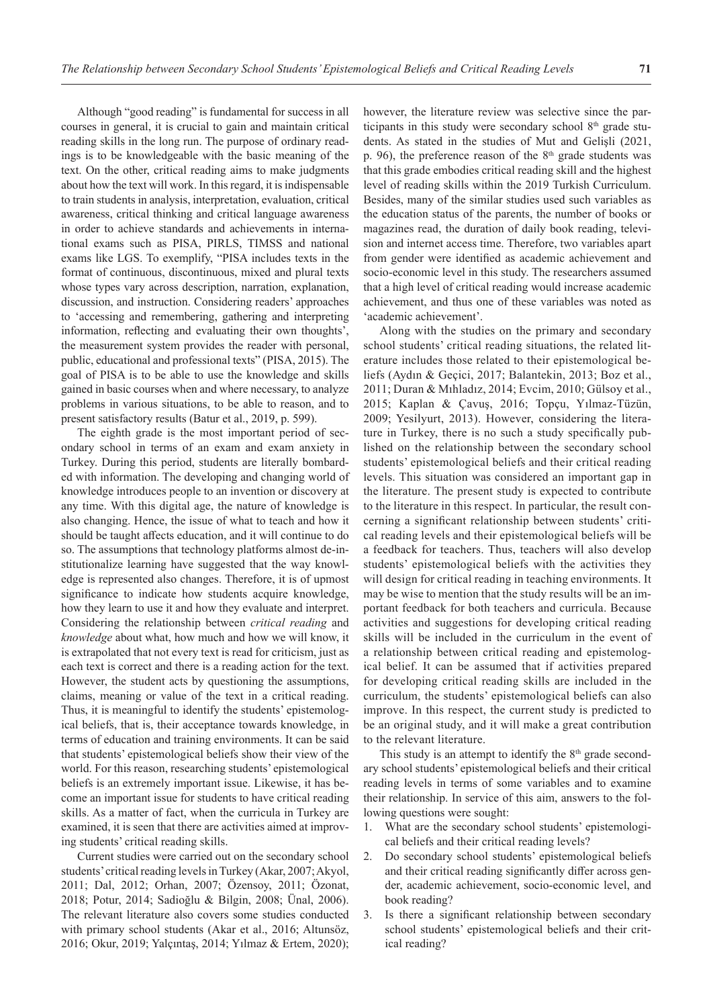Although "good reading" is fundamental for success in all courses in general, it is crucial to gain and maintain critical reading skills in the long run. The purpose of ordinary readings is to be knowledgeable with the basic meaning of the text. On the other, critical reading aims to make judgments about how the text will work. In this regard, it is indispensable to train students in analysis, interpretation, evaluation, critical awareness, critical thinking and critical language awareness in order to achieve standards and achievements in international exams such as PISA, PIRLS, TIMSS and national exams like LGS. To exemplify, "PISA includes texts in the format of continuous, discontinuous, mixed and plural texts whose types vary across description, narration, explanation, discussion, and instruction. Considering readers' approaches to 'accessing and remembering, gathering and interpreting information, reflecting and evaluating their own thoughts', the measurement system provides the reader with personal, public, educational and professional texts" (PISA, 2015). The goal of PISA is to be able to use the knowledge and skills gained in basic courses when and where necessary, to analyze problems in various situations, to be able to reason, and to present satisfactory results (Batur et al., 2019, p. 599).

The eighth grade is the most important period of secondary school in terms of an exam and exam anxiety in Turkey. During this period, students are literally bombarded with information. The developing and changing world of knowledge introduces people to an invention or discovery at any time. With this digital age, the nature of knowledge is also changing. Hence, the issue of what to teach and how it should be taught affects education, and it will continue to do so. The assumptions that technology platforms almost de-institutionalize learning have suggested that the way knowledge is represented also changes. Therefore, it is of upmost significance to indicate how students acquire knowledge, how they learn to use it and how they evaluate and interpret. Considering the relationship between *critical reading* and *knowledge* about what, how much and how we will know, it is extrapolated that not every text is read for criticism, just as each text is correct and there is a reading action for the text. However, the student acts by questioning the assumptions, claims, meaning or value of the text in a critical reading. Thus, it is meaningful to identify the students' epistemological beliefs, that is, their acceptance towards knowledge, in terms of education and training environments. It can be said that students' epistemological beliefs show their view of the world. For this reason, researching students' epistemological beliefs is an extremely important issue. Likewise, it has become an important issue for students to have critical reading skills. As a matter of fact, when the curricula in Turkey are examined, it is seen that there are activities aimed at improving students' critical reading skills.

Current studies were carried out on the secondary school students' critical reading levels in Turkey (Akar, 2007; Akyol, 2011; Dal, 2012; Orhan, 2007; Özensoy, 2011; Özonat, 2018; Potur, 2014; Sadioğlu & Bilgin, 2008; Ünal, 2006). The relevant literature also covers some studies conducted with primary school students (Akar et al., 2016; Altunsöz, 2016; Okur, 2019; Yalçıntaş, 2014; Yılmaz & Ertem, 2020); however, the literature review was selective since the participants in this study were secondary school  $8<sup>th</sup>$  grade students. As stated in the studies of Mut and Gelişli (2021, p. 96), the preference reason of the  $8<sup>th</sup>$  grade students was that this grade embodies critical reading skill and the highest level of reading skills within the 2019 Turkish Curriculum. Besides, many of the similar studies used such variables as the education status of the parents, the number of books or magazines read, the duration of daily book reading, television and internet access time. Therefore, two variables apart from gender were identified as academic achievement and socio-economic level in this study. The researchers assumed that a high level of critical reading would increase academic achievement, and thus one of these variables was noted as 'academic achievement'.

Along with the studies on the primary and secondary school students' critical reading situations, the related literature includes those related to their epistemological beliefs (Aydın & Geçici, 2017; Balantekin, 2013; Boz et al., 2011; Duran & Mıhladız, 2014; Evcim, 2010; Gülsoy et al., 2015; Kaplan & Çavuş, 2016; Topçu, Yılmaz-Tüzün, 2009; Yesilyurt, 2013). However, considering the literature in Turkey, there is no such a study specifically published on the relationship between the secondary school students' epistemological beliefs and their critical reading levels. This situation was considered an important gap in the literature. The present study is expected to contribute to the literature in this respect. In particular, the result concerning a significant relationship between students' critical reading levels and their epistemological beliefs will be a feedback for teachers. Thus, teachers will also develop students' epistemological beliefs with the activities they will design for critical reading in teaching environments. It may be wise to mention that the study results will be an important feedback for both teachers and curricula. Because activities and suggestions for developing critical reading skills will be included in the curriculum in the event of a relationship between critical reading and epistemological belief. It can be assumed that if activities prepared for developing critical reading skills are included in the curriculum, the students' epistemological beliefs can also improve. In this respect, the current study is predicted to be an original study, and it will make a great contribution to the relevant literature.

This study is an attempt to identify the  $8<sup>th</sup>$  grade secondary school students' epistemological beliefs and their critical reading levels in terms of some variables and to examine their relationship. In service of this aim, answers to the following questions were sought:

- 1. What are the secondary school students' epistemological beliefs and their critical reading levels?
- 2. Do secondary school students' epistemological beliefs and their critical reading significantly differ across gender, academic achievement, socio-economic level, and book reading?
- 3. Is there a significant relationship between secondary school students' epistemological beliefs and their critical reading?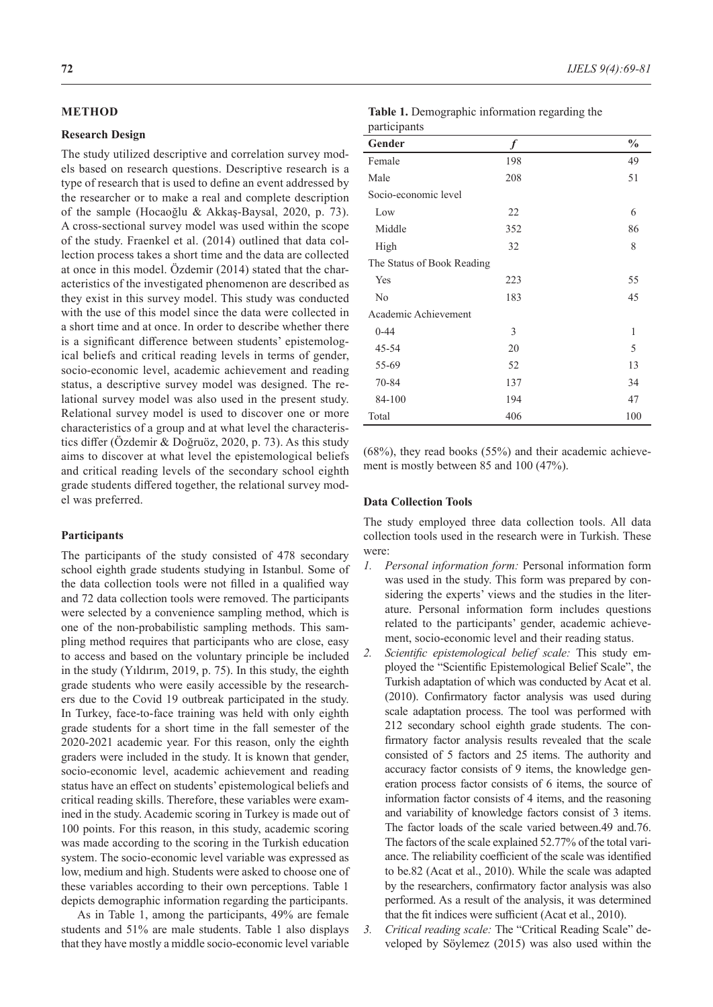### **METHOD**

### **Research Design**

The study utilized descriptive and correlation survey models based on research questions. Descriptive research is a type of research that is used to define an event addressed by the researcher or to make a real and complete description of the sample (Hocaoğlu & Akkaş-Baysal, 2020, p. 73). A cross-sectional survey model was used within the scope of the study. Fraenkel et al. (2014) outlined that data collection process takes a short time and the data are collected at once in this model. Özdemir (2014) stated that the characteristics of the investigated phenomenon are described as they exist in this survey model. This study was conducted with the use of this model since the data were collected in a short time and at once. In order to describe whether there is a significant difference between students' epistemological beliefs and critical reading levels in terms of gender, socio-economic level, academic achievement and reading status, a descriptive survey model was designed. The relational survey model was also used in the present study. Relational survey model is used to discover one or more characteristics of a group and at what level the characteristics differ (Özdemir & Doğruöz, 2020, p. 73). As this study aims to discover at what level the epistemological beliefs and critical reading levels of the secondary school eighth grade students differed together, the relational survey model was preferred.

### **Participants**

The participants of the study consisted of 478 secondary school eighth grade students studying in Istanbul. Some of the data collection tools were not filled in a qualified way and 72 data collection tools were removed. The participants were selected by a convenience sampling method, which is one of the non-probabilistic sampling methods. This sampling method requires that participants who are close, easy to access and based on the voluntary principle be included in the study (Yıldırım, 2019, p. 75). In this study, the eighth grade students who were easily accessible by the researchers due to the Covid 19 outbreak participated in the study. In Turkey, face-to-face training was held with only eighth grade students for a short time in the fall semester of the 2020-2021 academic year. For this reason, only the eighth graders were included in the study. It is known that gender, socio-economic level, academic achievement and reading status have an effect on students' epistemological beliefs and critical reading skills. Therefore, these variables were examined in the study. Academic scoring in Turkey is made out of 100 points. For this reason, in this study, academic scoring was made according to the scoring in the Turkish education system. The socio-economic level variable was expressed as low, medium and high. Students were asked to choose one of these variables according to their own perceptions. Table 1 depicts demographic information regarding the participants.

As in Table 1, among the participants, 49% are female students and 51% are male students. Table 1 also displays that they have mostly a middle socio-economic level variable

| Table 1. Demographic information regarding the |  |  |
|------------------------------------------------|--|--|
| participants                                   |  |  |

| ÷                          |                  |               |
|----------------------------|------------------|---------------|
| Gender                     | $\boldsymbol{f}$ | $\frac{0}{0}$ |
| Female                     | 198              | 49            |
| Male                       | 208              | 51            |
| Socio-economic level       |                  |               |
| Low                        | 22               | 6             |
| Middle                     | 352              | 86            |
| High                       | 32               | 8             |
| The Status of Book Reading |                  |               |
| Yes                        | 223              | 55            |
| No                         | 183              | 45            |
| Academic Achievement       |                  |               |
| $0 - 44$                   | 3                | 1             |
| 45-54                      | 20               | 5             |
| 55-69                      | 52               | 13            |
| 70-84                      | 137              | 34            |
| 84-100                     | 194              | 47            |
| Total                      | 406              | 100           |

(68%), they read books (55%) and their academic achievement is mostly between 85 and 100 (47%).

### **Data Collection Tools**

The study employed three data collection tools. All data collection tools used in the research were in Turkish. These were:

- *1. Personal information form:* Personal information form was used in the study. This form was prepared by considering the experts' views and the studies in the literature. Personal information form includes questions related to the participants' gender, academic achievement, socio-economic level and their reading status.
- *2. Scientific epistemological belief scale:* This study employed the "Scientific Epistemological Belief Scale", the Turkish adaptation of which was conducted by Acat et al. (2010). Confirmatory factor analysis was used during scale adaptation process. The tool was performed with 212 secondary school eighth grade students. The confirmatory factor analysis results revealed that the scale consisted of 5 factors and 25 items. The authority and accuracy factor consists of 9 items, the knowledge generation process factor consists of 6 items, the source of information factor consists of 4 items, and the reasoning and variability of knowledge factors consist of 3 items. The factor loads of the scale varied between.49 and.76. The factors of the scale explained 52.77% of the total variance. The reliability coefficient of the scale was identified to be.82 (Acat et al., 2010). While the scale was adapted by the researchers, confirmatory factor analysis was also performed. As a result of the analysis, it was determined that the fit indices were sufficient (Acat et al., 2010).

*3. Critical reading scale:* The "Critical Reading Scale" developed by Söylemez (2015) was also used within the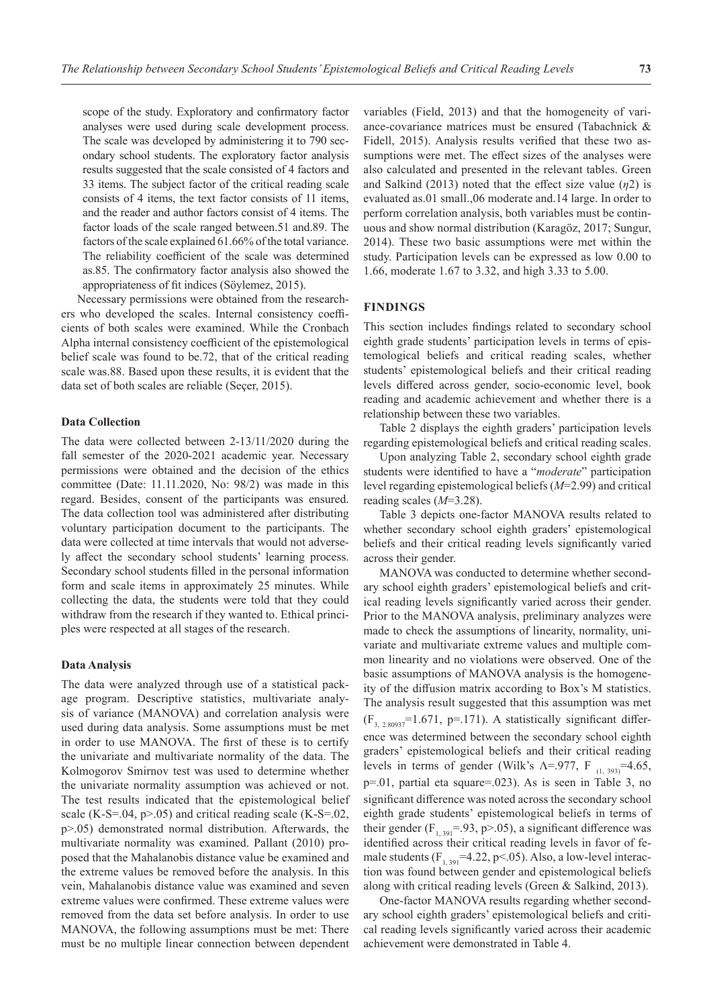scope of the study. Exploratory and confirmatory factor analyses were used during scale development process. The scale was developed by administering it to 790 secondary school students. The exploratory factor analysis results suggested that the scale consisted of 4 factors and 33 items. The subject factor of the critical reading scale consists of 4 items, the text factor consists of 11 items, and the reader and author factors consist of 4 items. The factor loads of the scale ranged between.51 and.89. The factors of the scale explained 61.66% of the total variance. The reliability coefficient of the scale was determined as.85. The confirmatory factor analysis also showed the appropriateness of fit indices (Söylemez, 2015).

Necessary permissions were obtained from the researchers who developed the scales. Internal consistency coefficients of both scales were examined. While the Cronbach Alpha internal consistency coefficient of the epistemological belief scale was found to be.72, that of the critical reading scale was.88. Based upon these results, it is evident that the data set of both scales are reliable (Seçer, 2015).

#### **Data Collection**

The data were collected between 2-13/11/2020 during the fall semester of the 2020-2021 academic year. Necessary permissions were obtained and the decision of the ethics committee (Date: 11.11.2020, No: 98/2) was made in this regard. Besides, consent of the participants was ensured. The data collection tool was administered after distributing voluntary participation document to the participants. The data were collected at time intervals that would not adversely affect the secondary school students' learning process. Secondary school students filled in the personal information form and scale items in approximately 25 minutes. While collecting the data, the students were told that they could withdraw from the research if they wanted to. Ethical principles were respected at all stages of the research.

#### **Data Analysis**

The data were analyzed through use of a statistical package program. Descriptive statistics, multivariate analysis of variance (MANOVA) and correlation analysis were used during data analysis. Some assumptions must be met in order to use MANOVA. The first of these is to certify the univariate and multivariate normality of the data. The Kolmogorov Smirnov test was used to determine whether the univariate normality assumption was achieved or not. The test results indicated that the epistemological belief scale (K-S=.04,  $p>0.05$ ) and critical reading scale (K-S=.02, p>.05) demonstrated normal distribution. Afterwards, the multivariate normality was examined. Pallant (2010) proposed that the Mahalanobis distance value be examined and the extreme values be removed before the analysis. In this vein, Mahalanobis distance value was examined and seven extreme values were confirmed. These extreme values were removed from the data set before analysis. In order to use MANOVA, the following assumptions must be met: There must be no multiple linear connection between dependent

variables (Field, 2013) and that the homogeneity of variance-covariance matrices must be ensured (Tabachnick & Fidell, 2015). Analysis results verified that these two assumptions were met. The effect sizes of the analyses were also calculated and presented in the relevant tables. Green and Salkind  $(2013)$  noted that the effect size value  $(\eta_2)$  is evaluated as.01 small.,06 moderate and.14 large. In order to perform correlation analysis, both variables must be continuous and show normal distribution (Karagöz, 2017; Sungur, 2014). These two basic assumptions were met within the study. Participation levels can be expressed as low 0.00 to 1.66, moderate 1.67 to 3.32, and high 3.33 to 5.00.

### **FINDINGS**

This section includes findings related to secondary school eighth grade students' participation levels in terms of epistemological beliefs and critical reading scales, whether students' epistemological beliefs and their critical reading levels differed across gender, socio-economic level, book reading and academic achievement and whether there is a relationship between these two variables.

Table 2 displays the eighth graders' participation levels regarding epistemological beliefs and critical reading scales.

Upon analyzing Table 2, secondary school eighth grade students were identified to have a "*moderate*" participation level regarding epistemological beliefs (*M*=2.99) and critical reading scales (*M*=3.28).

Table 3 depicts one-factor MANOVA results related to whether secondary school eighth graders' epistemological beliefs and their critical reading levels significantly varied across their gender.

MANOVA was conducted to determine whether secondary school eighth graders' epistemological beliefs and critical reading levels significantly varied across their gender. Prior to the MANOVA analysis, preliminary analyzes were made to check the assumptions of linearity, normality, univariate and multivariate extreme values and multiple common linearity and no violations were observed. One of the basic assumptions of MANOVA analysis is the homogeneity of the diffusion matrix according to Box's M statistics. The analysis result suggested that this assumption was met  $(F_{3, 2.80937}$ =1.671, p=.171). A statistically significant difference was determined between the secondary school eighth graders' epistemological beliefs and their critical reading levels in terms of gender (Wilk's  $\Lambda$ =.977, F<sub>(1, 393)</sub>=4.65, p=.01, partial eta square=.023). As is seen in Table 3, no significant difference was noted across the secondary school eighth grade students' epistemological beliefs in terms of their gender ( $F_{1, 391}$ =.93, p>.05), a significant difference was identified across their critical reading levels in favor of female students  $(F_{1, 391} = 4.22, p < .05)$ . Also, a low-level interaction was found between gender and epistemological beliefs along with critical reading levels (Green & Salkind, 2013).

One-factor MANOVA results regarding whether secondary school eighth graders' epistemological beliefs and critical reading levels significantly varied across their academic achievement were demonstrated in Table 4.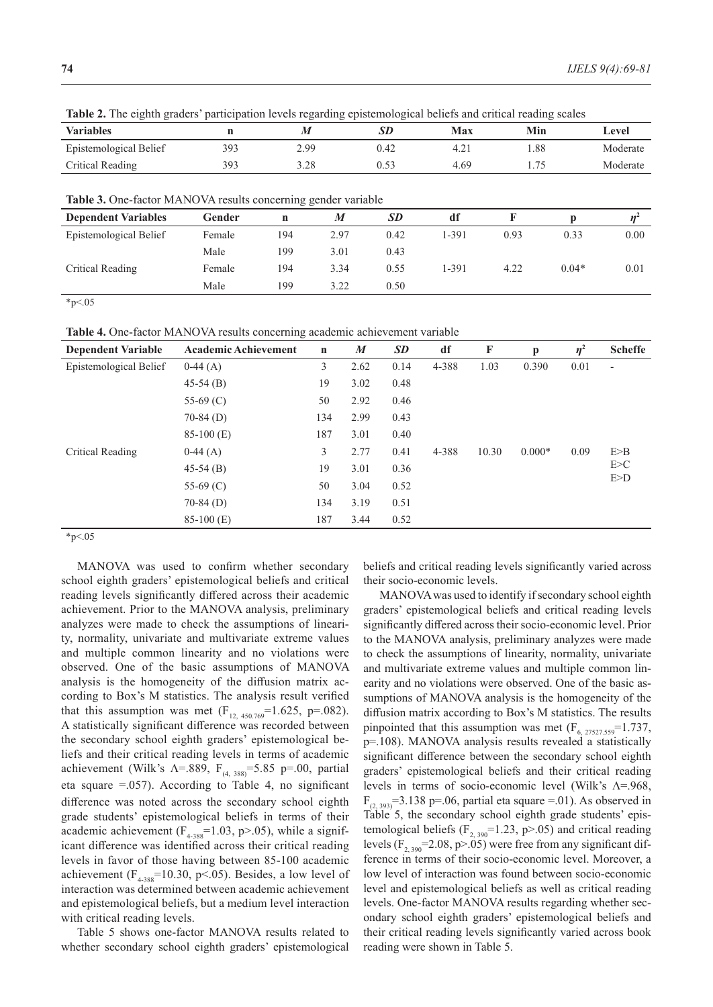**Variables n** *M SD* **Max Min Level** Epistemological Belief 393 2.99 0.42 4.21 1.88 Moderate Critical Reading 393 3.28 0.53 4.69 1.75 Moderate

**Table 2.** The eighth graders' participation levels regarding epistemological beliefs and critical reading scales

**Table 3.** One‑factor MANOVA results concerning gender variable

| <b>THERE</b> OF OTHER HAVIOI THE R FOR FIGURES CONCERTING, GUILDELY VALIMENT |        |     |      |           |       |      |         |      |
|------------------------------------------------------------------------------|--------|-----|------|-----------|-------|------|---------|------|
| <b>Dependent Variables</b>                                                   | Gender | n   | M    | <b>SD</b> | df    |      |         |      |
| Epistemological Belief                                                       | Female | 194 | 2.97 | 0.42      | 1-391 | 0.93 | 0.33    | 0.00 |
|                                                                              | Male   | 199 | 3.01 | 0.43      |       |      |         |      |
| Critical Reading                                                             | Female | 194 | 3.34 | 0.55      | 1-391 | 4.22 | $0.04*$ | 0.01 |
|                                                                              | Male   | 199 | 3.22 | 0.50      |       |      |         |      |

 $*_{p<.05}$ 

**Table 4.** One‑factor MANOVA results concerning academic achievement variable

| <b>Dependent Variable</b> | <b>Academic Achievement</b> | $\mathbf n$ | $\boldsymbol{M}$ | <b>SD</b> | df    | F     | p        | $\eta^2$ | <b>Scheffe</b>           |
|---------------------------|-----------------------------|-------------|------------------|-----------|-------|-------|----------|----------|--------------------------|
| Epistemological Belief    | $0-44(A)$                   | 3           | 2.62             | 0.14      | 4-388 | 1.03  | 0.390    | 0.01     | $\overline{\phantom{a}}$ |
|                           | $45-54(B)$                  | 19          | 3.02             | 0.48      |       |       |          |          |                          |
|                           | 55-69 $(C)$                 | 50          | 2.92             | 0.46      |       |       |          |          |                          |
|                           | $70-84$ (D)                 | 134         | 2.99             | 0.43      |       |       |          |          |                          |
|                           | $85-100$ (E)                | 187         | 3.01             | 0.40      |       |       |          |          |                          |
| Critical Reading          | $0-44(A)$                   | 3           | 2.77             | 0.41      | 4-388 | 10.30 | $0.000*$ | 0.09     | E>B                      |
|                           | $45-54(B)$                  | 19          | 3.01             | 0.36      |       |       |          |          | E>C                      |
|                           | 55-69 $(C)$                 | 50          | 3.04             | 0.52      |       |       |          |          | $E>$ D                   |
|                           | $70-84$ (D)                 | 134         | 3.19             | 0.51      |       |       |          |          |                          |
|                           | $85-100$ (E)                | 187         | 3.44             | 0.52      |       |       |          |          |                          |

 $*_{p<.05}$ 

MANOVA was used to confirm whether secondary school eighth graders' epistemological beliefs and critical reading levels significantly differed across their academic achievement. Prior to the MANOVA analysis, preliminary analyzes were made to check the assumptions of linearity, normality, univariate and multivariate extreme values and multiple common linearity and no violations were observed. One of the basic assumptions of MANOVA analysis is the homogeneity of the diffusion matrix according to Box's M statistics. The analysis result verified that this assumption was met  $(F_{12, 450.769} = 1.625, p = .082)$ . A statistically significant difference was recorded between the secondary school eighth graders' epistemological beliefs and their critical reading levels in terms of academic achievement (Wilk's  $\Lambda$ =.889,  $F_{(4, 388)}$ =5.85 p=.00, partial eta square  $=$ .057). According to Table 4, no significant difference was noted across the secondary school eighth grade students' epistemological beliefs in terms of their academic achievement ( $F_{4-388}$ =1.03, p>.05), while a significant difference was identified across their critical reading levels in favor of those having between 85-100 academic achievement ( $F_{4-388}$ =10.30, p<.05). Besides, a low level of interaction was determined between academic achievement and epistemological beliefs, but a medium level interaction with critical reading levels.

Table 5 shows one-factor MANOVA results related to whether secondary school eighth graders' epistemological beliefs and critical reading levels significantly varied across their socio-economic levels.

MANOVA was used to identify if secondary school eighth graders' epistemological beliefs and critical reading levels significantly differed across their socio-economic level. Prior to the MANOVA analysis, preliminary analyzes were made to check the assumptions of linearity, normality, univariate and multivariate extreme values and multiple common linearity and no violations were observed. One of the basic assumptions of MANOVA analysis is the homogeneity of the diffusion matrix according to Box's M statistics. The results pinpointed that this assumption was met  $(F_{6, 27527.559} = 1.737,$ p=.108). MANOVA analysis results revealed a statistically significant difference between the secondary school eighth graders' epistemological beliefs and their critical reading levels in terms of socio-economic level (Wilk's Λ=.968,  $F_{(2, 393)}$ =3.138 p=.06, partial eta square =.01). As observed in Table 5, the secondary school eighth grade students' epistemological beliefs ( $F_{2, 390}$ =1.23, p>.05) and critical reading levels ( $F_{2, 390}$ =2.08, p>.05) were free from any significant difference in terms of their socio-economic level. Moreover, a low level of interaction was found between socio-economic level and epistemological beliefs as well as critical reading levels. One-factor MANOVA results regarding whether secondary school eighth graders' epistemological beliefs and their critical reading levels significantly varied across book reading were shown in Table 5.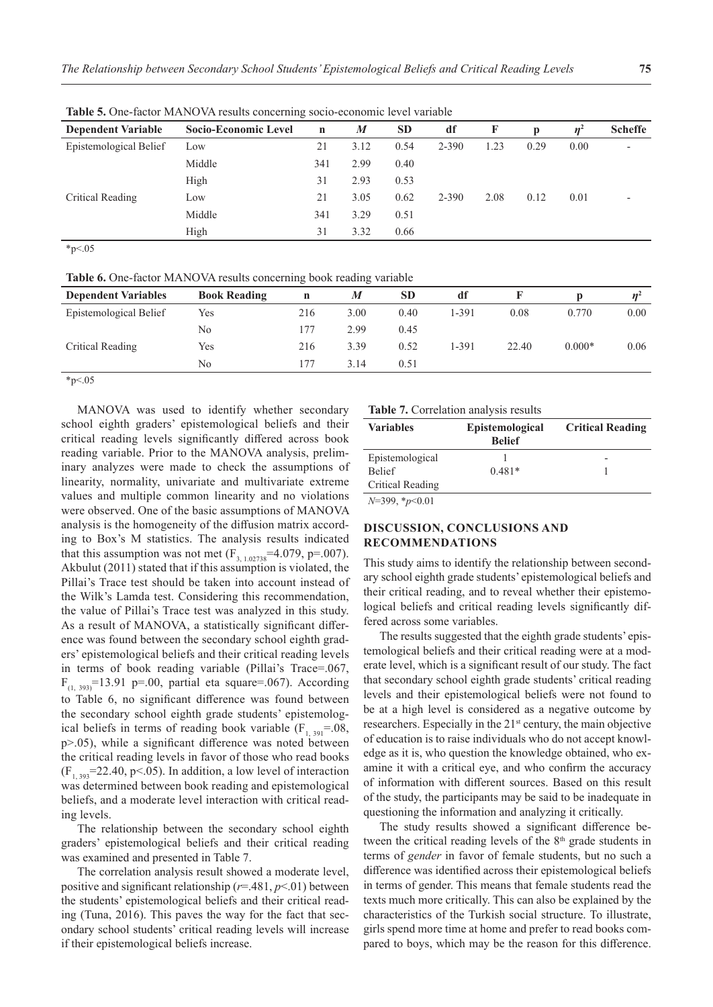| <b>Dependent Variable</b> | <b>Socio-Economic Level</b> | $\mathbf n$ | M    | <b>SD</b> | df    | F    | p    | $n^2$ | <b>Scheffe</b> |
|---------------------------|-----------------------------|-------------|------|-----------|-------|------|------|-------|----------------|
| Epistemological Belief    | Low                         | 21          | 3.12 | 0.54      | 2-390 | 1.23 | 0.29 | 0.00  |                |
|                           | Middle                      | 341         | 2.99 | 0.40      |       |      |      |       |                |
|                           | High                        | 31          | 2.93 | 0.53      |       |      |      |       |                |
| Critical Reading          | Low                         | 21          | 3.05 | 0.62      | 2-390 | 2.08 | 0.12 | 0.01  |                |
|                           | Middle                      | 341         | 3.29 | 0.51      |       |      |      |       |                |
|                           | High                        | 31          | 3.32 | 0.66      |       |      |      |       |                |

Table 5. One-factor MANOVA results concerning socio-economic level variable

 $*_{p<.05}$ 

**Table 6.** One-factor MANOVA results concerning book reading variable

| <b>Dependent Variables</b> | <b>Book Reading</b> | n   | M    | <b>SD</b> | df    |       |          |      |
|----------------------------|---------------------|-----|------|-----------|-------|-------|----------|------|
| Epistemological Belief     | Yes                 | 216 | 3.00 | 0.40      | 1-391 | 0.08  | 0.770    | 0.00 |
|                            | No                  | 177 | 2.99 | 0.45      |       |       |          |      |
| Critical Reading           | Yes                 | 216 | 3.39 | 0.52      | 1-391 | 22.40 | $0.000*$ | 0.06 |
|                            | No                  | 177 | 3.14 | 0.51      |       |       |          |      |
|                            |                     |     |      |           |       |       |          |      |

 $*_{p<.05}$ 

MANOVA was used to identify whether secondary school eighth graders' epistemological beliefs and their critical reading levels significantly differed across book reading variable. Prior to the MANOVA analysis, preliminary analyzes were made to check the assumptions of linearity, normality, univariate and multivariate extreme values and multiple common linearity and no violations were observed. One of the basic assumptions of MANOVA analysis is the homogeneity of the diffusion matrix according to Box's M statistics. The analysis results indicated that this assumption was not met  $(F_{3, 1.02738} = 4.079, p = .007)$ . Akbulut (2011) stated that if this assumption is violated, the Pillai's Trace test should be taken into account instead of the Wilk's Lamda test. Considering this recommendation, the value of Pillai's Trace test was analyzed in this study. As a result of MANOVA, a statistically significant difference was found between the secondary school eighth graders' epistemological beliefs and their critical reading levels in terms of book reading variable (Pillai's Trace=.067,  $F_{(1, 393)}$ =13.91 p=.00, partial eta square=.067). According to Table 6, no significant difference was found between the secondary school eighth grade students' epistemological beliefs in terms of reading book variable  $(F_{1, 391} = .08,$ p>.05), while a significant difference was noted between the critical reading levels in favor of those who read books  $(F<sub>1, 393</sub>=22.40, p<.05)$ . In addition, a low level of interaction was determined between book reading and epistemological beliefs, and a moderate level interaction with critical reading levels.

The relationship between the secondary school eighth graders' epistemological beliefs and their critical reading was examined and presented in Table 7.

The correlation analysis result showed a moderate level, positive and significant relationship (*r*=.481, *p*<.01) between the students' epistemological beliefs and their critical reading (Tuna, 2016). This paves the way for the fact that secondary school students' critical reading levels will increase if their epistemological beliefs increase.

#### **Table 7.** Correlation analysis results

| <b>Variables</b> | <b>Epistemological</b><br><b>Belief</b> | <b>Critical Reading</b> |
|------------------|-----------------------------------------|-------------------------|
| Epistemological  |                                         |                         |
| <b>Belief</b>    | $0.481*$                                |                         |
| Critical Reading |                                         |                         |
| $N=399, *p<0.01$ |                                         |                         |

## **DISCUSSION, CONCLUSIONS AND RECOMMENDATIONS**

This study aims to identify the relationship between secondary school eighth grade students' epistemological beliefs and their critical reading, and to reveal whether their epistemological beliefs and critical reading levels significantly differed across some variables.

The results suggested that the eighth grade students' epistemological beliefs and their critical reading were at a moderate level, which is a significant result of our study. The fact that secondary school eighth grade students' critical reading levels and their epistemological beliefs were not found to be at a high level is considered as a negative outcome by researchers. Especially in the 21<sup>st</sup> century, the main objective of education is to raise individuals who do not accept knowledge as it is, who question the knowledge obtained, who examine it with a critical eye, and who confirm the accuracy of information with different sources. Based on this result of the study, the participants may be said to be inadequate in questioning the information and analyzing it critically.

The study results showed a significant difference between the critical reading levels of the  $8<sup>th</sup>$  grade students in terms of *gender* in favor of female students, but no such a difference was identified across their epistemological beliefs in terms of gender. This means that female students read the texts much more critically. This can also be explained by the characteristics of the Turkish social structure. To illustrate, girls spend more time at home and prefer to read books compared to boys, which may be the reason for this difference.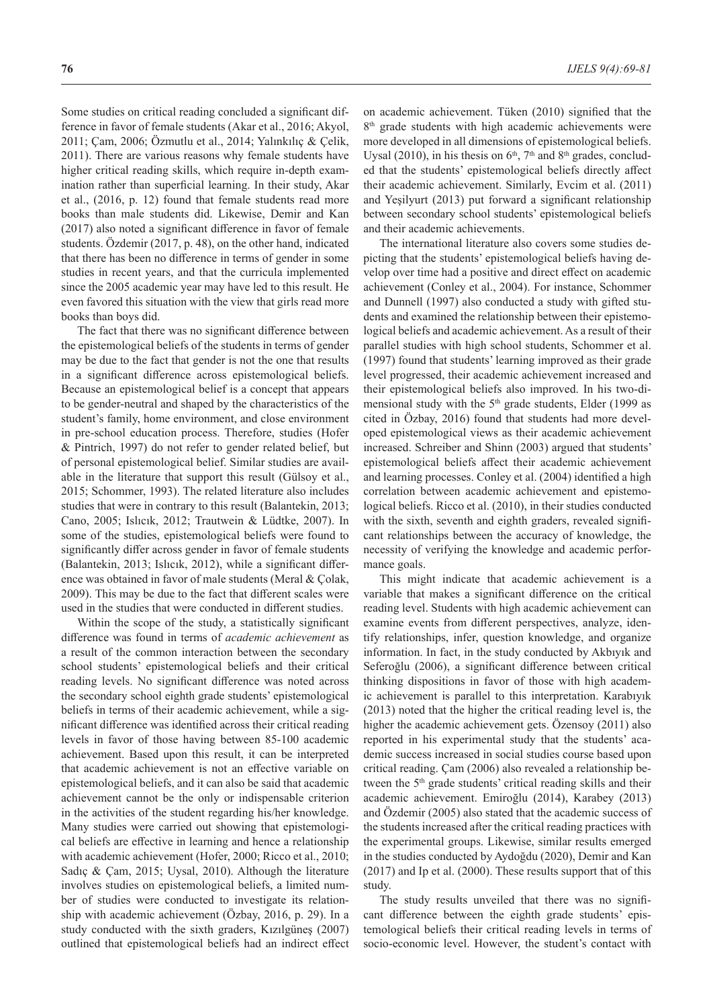Some studies on critical reading concluded a significant difference in favor of female students (Akar et al., 2016; Akyol, 2011; Çam, 2006; Özmutlu et al., 2014; Yalınkılıç & Çelik, 2011). There are various reasons why female students have higher critical reading skills, which require in-depth examination rather than superficial learning. In their study, Akar et al., (2016, p. 12) found that female students read more books than male students did. Likewise, Demir and Kan (2017) also noted a significant difference in favor of female students. Özdemir (2017, p. 48), on the other hand, indicated that there has been no difference in terms of gender in some studies in recent years, and that the curricula implemented since the 2005 academic year may have led to this result. He even favored this situation with the view that girls read more books than boys did.

The fact that there was no significant difference between the epistemological beliefs of the students in terms of gender may be due to the fact that gender is not the one that results in a significant difference across epistemological beliefs. Because an epistemological belief is a concept that appears to be gender-neutral and shaped by the characteristics of the student's family, home environment, and close environment in pre-school education process. Therefore, studies (Hofer & Pintrich, 1997) do not refer to gender related belief, but of personal epistemological belief. Similar studies are available in the literature that support this result (Gülsoy et al., 2015; Schommer, 1993). The related literature also includes studies that were in contrary to this result (Balantekin, 2013; Cano, 2005; Islıcık, 2012; Trautwein & Lüdtke, 2007). In some of the studies, epistemological beliefs were found to significantly differ across gender in favor of female students (Balantekin, 2013; Islıcık, 2012), while a significant difference was obtained in favor of male students (Meral & Çolak, 2009). This may be due to the fact that different scales were used in the studies that were conducted in different studies.

Within the scope of the study, a statistically significant difference was found in terms of *academic achievement* as a result of the common interaction between the secondary school students' epistemological beliefs and their critical reading levels. No significant difference was noted across the secondary school eighth grade students' epistemological beliefs in terms of their academic achievement, while a significant difference was identified across their critical reading levels in favor of those having between 85-100 academic achievement. Based upon this result, it can be interpreted that academic achievement is not an effective variable on epistemological beliefs, and it can also be said that academic achievement cannot be the only or indispensable criterion in the activities of the student regarding his/her knowledge. Many studies were carried out showing that epistemological beliefs are effective in learning and hence a relationship with academic achievement (Hofer, 2000; Ricco et al., 2010; Sadıç & Çam, 2015; Uysal, 2010). Although the literature involves studies on epistemological beliefs, a limited number of studies were conducted to investigate its relationship with academic achievement (Özbay, 2016, p. 29). In a study conducted with the sixth graders, Kızılgüneş (2007) outlined that epistemological beliefs had an indirect effect on academic achievement. Tüken (2010) signified that the 8<sup>th</sup> grade students with high academic achievements were more developed in all dimensions of epistemological beliefs. Uysal (2010), in his thesis on  $6<sup>th</sup>$ ,  $7<sup>th</sup>$  and  $8<sup>th</sup>$  grades, concluded that the students' epistemological beliefs directly affect their academic achievement. Similarly, Evcim et al. (2011) and Yeşilyurt (2013) put forward a significant relationship between secondary school students' epistemological beliefs and their academic achievements.

The international literature also covers some studies depicting that the students' epistemological beliefs having develop over time had a positive and direct effect on academic achievement (Conley et al., 2004). For instance, Schommer and Dunnell (1997) also conducted a study with gifted students and examined the relationship between their epistemological beliefs and academic achievement. As a result of their parallel studies with high school students, Schommer et al. (1997) found that students' learning improved as their grade level progressed, their academic achievement increased and their epistemological beliefs also improved. In his two-dimensional study with the  $5<sup>th</sup>$  grade students, Elder (1999 as cited in Özbay, 2016) found that students had more developed epistemological views as their academic achievement increased. Schreiber and Shinn (2003) argued that students' epistemological beliefs affect their academic achievement and learning processes. Conley et al. (2004) identified a high correlation between academic achievement and epistemological beliefs. Ricco et al. (2010), in their studies conducted with the sixth, seventh and eighth graders, revealed significant relationships between the accuracy of knowledge, the necessity of verifying the knowledge and academic performance goals.

This might indicate that academic achievement is a variable that makes a significant difference on the critical reading level. Students with high academic achievement can examine events from different perspectives, analyze, identify relationships, infer, question knowledge, and organize information. In fact, in the study conducted by Akbıyık and Seferoğlu (2006), a significant difference between critical thinking dispositions in favor of those with high academic achievement is parallel to this interpretation. Karabıyık (2013) noted that the higher the critical reading level is, the higher the academic achievement gets. Özensoy (2011) also reported in his experimental study that the students' academic success increased in social studies course based upon critical reading. Çam (2006) also revealed a relationship between the 5<sup>th</sup> grade students' critical reading skills and their academic achievement. Emiroğlu (2014), Karabey (2013) and Özdemir (2005) also stated that the academic success of the students increased after the critical reading practices with the experimental groups. Likewise, similar results emerged in the studies conducted by Aydoğdu (2020), Demir and Kan (2017) and Ip et al. (2000). These results support that of this study.

The study results unveiled that there was no significant difference between the eighth grade students' epistemological beliefs their critical reading levels in terms of socio-economic level. However, the student's contact with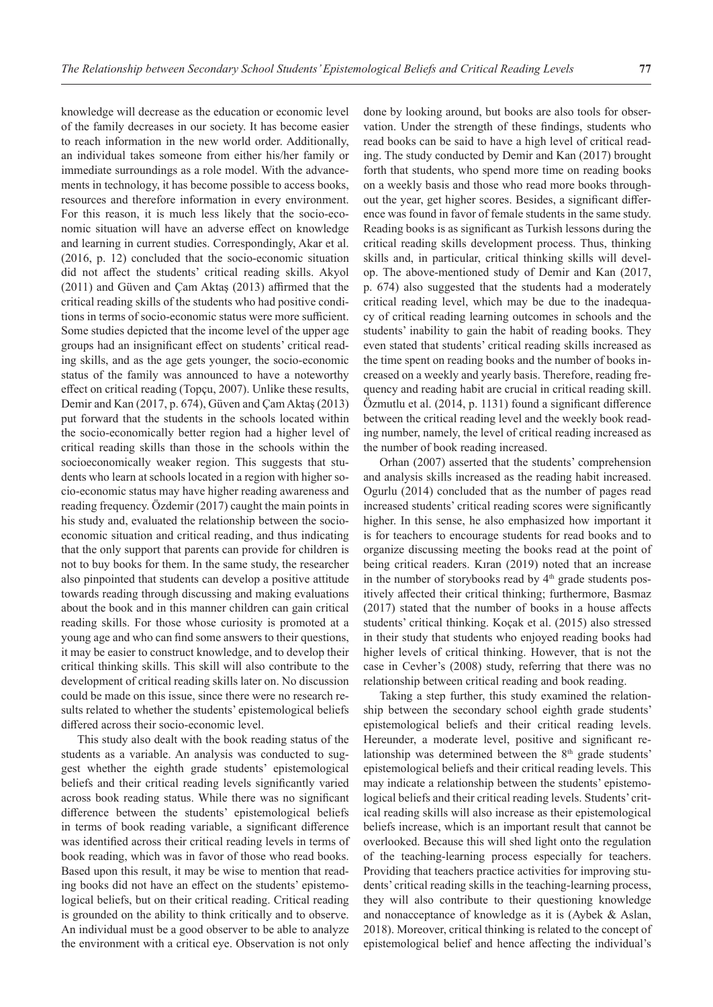knowledge will decrease as the education or economic level of the family decreases in our society. It has become easier to reach information in the new world order. Additionally, an individual takes someone from either his/her family or immediate surroundings as a role model. With the advancements in technology, it has become possible to access books, resources and therefore information in every environment. For this reason, it is much less likely that the socio-economic situation will have an adverse effect on knowledge and learning in current studies. Correspondingly, Akar et al. (2016, p. 12) concluded that the socio-economic situation did not affect the students' critical reading skills. Akyol (2011) and Güven and Çam Aktaş (2013) affirmed that the critical reading skills of the students who had positive conditions in terms of socio-economic status were more sufficient. Some studies depicted that the income level of the upper age groups had an insignificant effect on students' critical reading skills, and as the age gets younger, the socio-economic status of the family was announced to have a noteworthy effect on critical reading (Topçu, 2007). Unlike these results, Demir and Kan (2017, p. 674), Güven and Çam Aktaş (2013) put forward that the students in the schools located within the socio-economically better region had a higher level of critical reading skills than those in the schools within the socioeconomically weaker region. This suggests that students who learn at schools located in a region with higher socio-economic status may have higher reading awareness and reading frequency. Özdemir (2017) caught the main points in his study and, evaluated the relationship between the socioeconomic situation and critical reading, and thus indicating that the only support that parents can provide for children is not to buy books for them. In the same study, the researcher also pinpointed that students can develop a positive attitude towards reading through discussing and making evaluations about the book and in this manner children can gain critical reading skills. For those whose curiosity is promoted at a young age and who can find some answers to their questions, it may be easier to construct knowledge, and to develop their critical thinking skills. This skill will also contribute to the development of critical reading skills later on. No discussion could be made on this issue, since there were no research results related to whether the students' epistemological beliefs differed across their socio-economic level.

This study also dealt with the book reading status of the students as a variable. An analysis was conducted to suggest whether the eighth grade students' epistemological beliefs and their critical reading levels significantly varied across book reading status. While there was no significant difference between the students' epistemological beliefs in terms of book reading variable, a significant difference was identified across their critical reading levels in terms of book reading, which was in favor of those who read books. Based upon this result, it may be wise to mention that reading books did not have an effect on the students' epistemological beliefs, but on their critical reading. Critical reading is grounded on the ability to think critically and to observe. An individual must be a good observer to be able to analyze the environment with a critical eye. Observation is not only done by looking around, but books are also tools for observation. Under the strength of these findings, students who read books can be said to have a high level of critical reading. The study conducted by Demir and Kan (2017) brought forth that students, who spend more time on reading books on a weekly basis and those who read more books throughout the year, get higher scores. Besides, a significant difference was found in favor of female students in the same study. Reading books is as significant as Turkish lessons during the critical reading skills development process. Thus, thinking skills and, in particular, critical thinking skills will develop. The above-mentioned study of Demir and Kan (2017, p. 674) also suggested that the students had a moderately critical reading level, which may be due to the inadequacy of critical reading learning outcomes in schools and the students' inability to gain the habit of reading books. They even stated that students' critical reading skills increased as the time spent on reading books and the number of books increased on a weekly and yearly basis. Therefore, reading frequency and reading habit are crucial in critical reading skill. Özmutlu et al. (2014, p. 1131) found a significant difference between the critical reading level and the weekly book reading number, namely, the level of critical reading increased as the number of book reading increased.

Orhan (2007) asserted that the students' comprehension and analysis skills increased as the reading habit increased. Ogurlu (2014) concluded that as the number of pages read increased students' critical reading scores were significantly higher. In this sense, he also emphasized how important it is for teachers to encourage students for read books and to organize discussing meeting the books read at the point of being critical readers. Kıran (2019) noted that an increase in the number of storybooks read by  $4<sup>th</sup>$  grade students positively affected their critical thinking; furthermore, Basmaz (2017) stated that the number of books in a house affects students' critical thinking. Koçak et al. (2015) also stressed in their study that students who enjoyed reading books had higher levels of critical thinking. However, that is not the case in Cevher's (2008) study, referring that there was no relationship between critical reading and book reading.

Taking a step further, this study examined the relationship between the secondary school eighth grade students' epistemological beliefs and their critical reading levels. Hereunder, a moderate level, positive and significant relationship was determined between the 8<sup>th</sup> grade students' epistemological beliefs and their critical reading levels. This may indicate a relationship between the students' epistemological beliefs and their critical reading levels. Students' critical reading skills will also increase as their epistemological beliefs increase, which is an important result that cannot be overlooked. Because this will shed light onto the regulation of the teaching-learning process especially for teachers. Providing that teachers practice activities for improving students' critical reading skills in the teaching-learning process, they will also contribute to their questioning knowledge and nonacceptance of knowledge as it is (Aybek & Aslan, 2018). Moreover, critical thinking is related to the concept of epistemological belief and hence affecting the individual's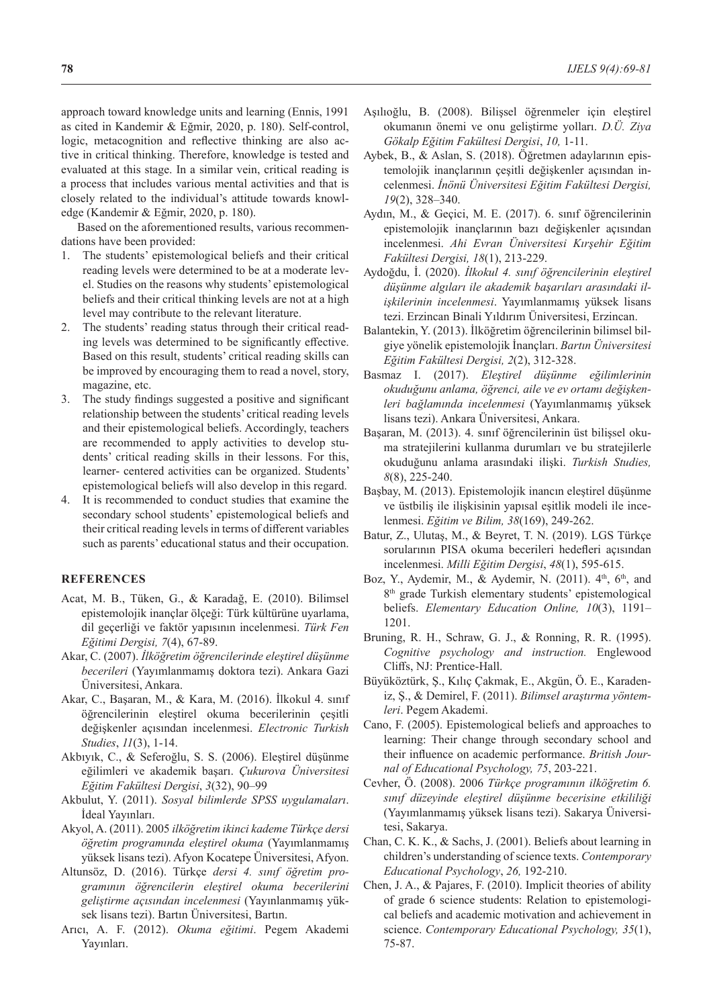approach toward knowledge units and learning (Ennis, 1991 as cited in Kandemir & Eğmir, 2020, p. 180). Self-control, logic, metacognition and reflective thinking are also active in critical thinking. Therefore, knowledge is tested and evaluated at this stage. In a similar vein, critical reading is a process that includes various mental activities and that is closely related to the individual's attitude towards knowledge (Kandemir & Eğmir, 2020, p. 180).

Based on the aforementioned results, various recommendations have been provided:

- 1. The students' epistemological beliefs and their critical reading levels were determined to be at a moderate level. Studies on the reasons why students' epistemological beliefs and their critical thinking levels are not at a high level may contribute to the relevant literature.
- 2. The students' reading status through their critical reading levels was determined to be significantly effective. Based on this result, students' critical reading skills can be improved by encouraging them to read a novel, story, magazine, etc.
- 3. The study findings suggested a positive and significant relationship between the students' critical reading levels and their epistemological beliefs. Accordingly, teachers are recommended to apply activities to develop students' critical reading skills in their lessons. For this, learner- centered activities can be organized. Students' epistemological beliefs will also develop in this regard.
- 4. It is recommended to conduct studies that examine the secondary school students' epistemological beliefs and their critical reading levels in terms of different variables such as parents' educational status and their occupation.

#### **REFERENCES**

- Acat, M. B., Tüken, G., & Karadağ, E. (2010). Bilimsel epistemolojik inançlar ölçeği: Türk kültürüne uyarlama, dil geçerliği ve faktör yapısının incelenmesi. *Türk Fen Eğitimi Dergisi, 7*(4), 67-89.
- Akar, C. (2007). *İlköğretim öğrencilerinde eleştirel düşünme becerileri* (Yayımlanmamış doktora tezi). Ankara Gazi Üniversitesi, Ankara.
- Akar, C., Başaran, M., & Kara, M. (2016). İlkokul 4. sınıf öğrencilerinin eleştirel okuma becerilerinin çeşitli değişkenler açısından incelenmesi. *Electronic Turkish Studies*, *11*(3), 1-14.
- Akbıyık, C., & Seferoğlu, S. S. (2006). Eleştirel düşünme eğilimleri ve akademik başarı. *Çukurova Üniversitesi Eğitim Fakültesi Dergisi*, *3*(32), 90–99
- Akbulut, Y. (2011). *Sosyal bilimlerde SPSS uygulamaları*. İdeal Yayınları.
- Akyol, A. (2011). 2005 *ilköğretim ikinci kademe Türkçe dersi öğretim programında eleştirel okuma* (Yayımlanmamış yüksek lisans tezi). Afyon Kocatepe Üniversitesi, Afyon.
- Altunsöz, D. (2016). Türkçe *dersi 4. sınıf öğretim programının öğrencilerin eleştirel okuma becerilerini geliştirme açısından incelenmesi* (Yayınlanmamış yüksek lisans tezi). Bartın Üniversitesi, Bartın.
- Arıcı, A. F. (2012). *Okuma eğitimi*. Pegem Akademi Yayınları.
- Aşılıoğlu, B. (2008). Bilişsel öğrenmeler için eleştirel okumanın önemi ve onu geliştirme yolları. *D.Ü. Ziya Gökalp Eğitim Fakültesi Dergisi*, *10,* 1-11.
- Aybek, B., & Aslan, S. (2018). Öğretmen adaylarının epistemolojik inançlarının çeşitli değişkenler açısından incelenmesi. *İnönü Üniversitesi Eğitim Fakültesi Dergisi, 19*(2), 328–340.
- Aydın, M., & Geçici, M. E. (2017). 6. sınıf öğrencilerinin epistemolojik inançlarının bazı değişkenler açısından incelenmesi. *Ahi Evran Üniversitesi Kırşehir Eğitim Fakültesi Dergisi, 18*(1), 213-229.
- Aydoğdu, İ. (2020). *İlkokul 4. sınıf öğrencilerinin eleştirel düşünme algıları ile akademik başarıları arasındaki ilişkilerinin incelenmesi*. Yayımlanmamış yüksek lisans tezi. Erzincan Binali Yıldırım Üniversitesi, Erzincan.
- Balantekin, Y. (2013). İlköğretim öğrencilerinin bilimsel bilgiye yönelik epistemolojik İnançları. *Bartın Üniversitesi Eğitim Fakültesi Dergisi, 2*(2), 312-328.
- Basmaz I. (2017). *Eleştirel düşünme eğilimlerinin okuduğunu anlama, öğrenci, aile ve ev ortamı değişkenleri bağlamında incelenmesi* (Yayımlanmamış yüksek lisans tezi). Ankara Üniversitesi, Ankara.
- Başaran, M. (2013). 4. sınıf öğrencilerinin üst bilişsel okuma stratejilerini kullanma durumları ve bu stratejilerle okuduğunu anlama arasındaki ilişki. *Turkish Studies, 8*(8), 225-240.
- Başbay, M. (2013). Epistemolojik inancın eleştirel düşünme ve üstbiliş ile ilişkisinin yapısal eşitlik modeli ile incelenmesi. *Eğitim ve Bilim, 38*(169), 249-262.
- Batur, Z., Ulutaş, M., & Beyret, T. N. (2019). LGS Türkçe sorularının PISA okuma becerileri hedefleri açısından incelenmesi. *Milli Eğitim Dergisi*, *48*(1), 595-615.
- Boz, Y., Aydemir, M., & Aydemir, N. (2011).  $4<sup>th</sup>$ ,  $6<sup>th</sup>$ , and 8<sup>th</sup> grade Turkish elementary students' epistemological beliefs. *Elementary Education Online, 10*(3), 1191– 1201.
- Bruning, R. H., Schraw, G. J., & Ronning, R. R. (1995). *Cognitive psychology and instruction.* Englewood Cliffs, NJ: Prentice-Hall.
- Büyüköztürk, Ş., Kılıç Çakmak, E., Akgün, Ö. E., Karadeniz, Ş., & Demirel, F. (2011). *Bilimsel araştırma yöntemleri*. Pegem Akademi.
- Cano, F. (2005). Epistemological beliefs and approaches to learning: Their change through secondary school and their influence on academic performance. *British Journal of Educational Psychology, 75*, 203-221.
- Cevher, Ö. (2008). 2006 *Türkçe programının ilköğretim 6. sınıf düzeyinde eleştirel düşünme becerisine etkililiği* (Yayımlanmamış yüksek lisans tezi). Sakarya Üniversitesi, Sakarya.
- Chan, C. K. K., & Sachs, J. (2001). Beliefs about learning in children's understanding of science texts. *Contemporary Educational Psychology*, *26,* 192-210.
- Chen, J. A., & Pajares, F. (2010). Implicit theories of ability of grade 6 science students: Relation to epistemological beliefs and academic motivation and achievement in science. *Contemporary Educational Psychology, 35*(1), 75-87.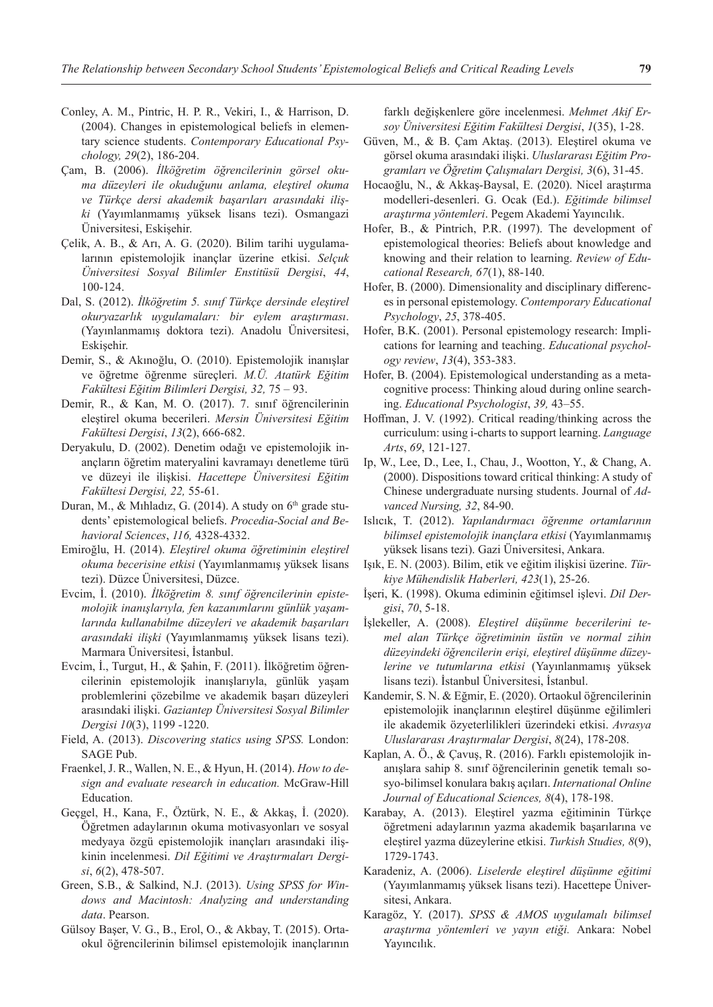- Conley, A. M., Pintric, H. P. R., Vekiri, I., & Harrison, D. (2004). Changes in epistemological beliefs in elementary science students. *Contemporary Educational Psychology, 29*(2), 186-204.
- Çam, B. (2006). *İlköğretim öğrencilerinin görsel okuma düzeyleri ile okuduğunu anlama, eleştirel okuma ve Türkçe dersi akademik başarıları arasındaki ilişki* (Yayımlanmamış yüksek lisans tezi). Osmangazi Üniversitesi, Eskişehir.
- Çelik, A. B., & Arı, A. G. (2020). Bilim tarihi uygulamalarının epistemolojik inançlar üzerine etkisi. *Selçuk Üniversitesi Sosyal Bilimler Enstitüsü Dergisi*, *44*, 100-124.
- Dal, S. (2012). *İlköğretim 5. sınıf Türkçe dersinde eleştirel okuryazarlık uygulamaları: bir eylem araştırması*. (Yayınlanmamış doktora tezi). Anadolu Üniversitesi, Eskişehir.
- Demir, S., & Akınoğlu, O. (2010). Epistemolojik inanışlar ve öğretme öğrenme süreçleri. *M.Ü. Atatürk Eğitim Fakültesi Eğitim Bilimleri Dergisi, 32,* 75 – 93.
- Demir, R., & Kan, M. O. (2017). 7. sınıf öğrencilerinin eleştirel okuma becerileri. *Mersin Üniversitesi Eğitim Fakültesi Dergisi*, *13*(2), 666-682.
- Deryakulu, D. (2002). Denetim odağı ve epistemolojik inançların öğretim materyalini kavramayı denetleme türü ve düzeyi ile ilişkisi. *Hacettepe Üniversitesi Eğitim Fakültesi Dergisi, 22,* 55-61.
- Duran, M., & Mihladiz, G. (2014). A study on  $6<sup>th</sup>$  grade students' epistemological beliefs. *Procedia-Social and Behavioral Sciences*, *116,* 4328-4332.
- Emiroğlu, H. (2014). *Eleştirel okuma öğretiminin eleştirel okuma becerisine etkisi* (Yayımlanmamış yüksek lisans tezi). Düzce Üniversitesi, Düzce.
- Evcim, İ. (2010). *İlköğretim 8. sınıf öğrencilerinin epistemolojik inanışlarıyla, fen kazanımlarını günlük yaşamlarında kullanabilme düzeyleri ve akademik başarıları arasındaki ilişki* (Yayımlanmamış yüksek lisans tezi). Marmara Üniversitesi, İstanbul.
- Evcim, İ., Turgut, H., & Şahin, F. (2011). İlköğretim öğrencilerinin epistemolojik inanışlarıyla, günlük yaşam problemlerini çözebilme ve akademik başarı düzeyleri arasındaki ilişki. *Gaziantep Üniversitesi Sosyal Bilimler Dergisi 10*(3), 1199 -1220.
- Field, A. (2013). *Discovering statics using SPSS.* London: SAGE Pub.
- Fraenkel, J. R., Wallen, N. E., & Hyun, H. (2014). *How to design and evaluate research in education.* McGraw-Hill Education.
- Geçgel, H., Kana, F., Öztürk, N. E., & Akkaş, İ. (2020). Öğretmen adaylarının okuma motivasyonları ve sosyal medyaya özgü epistemolojik inançları arasındaki ilişkinin incelenmesi. *Dil Eğitimi ve Araştırmaları Dergisi*, *6*(2), 478-507.
- Green, S.B., & Salkind, N.J. (2013). *Using SPSS for Windows and Macintosh: Analyzing and understanding data*. Pearson.
- Gülsoy Başer, V. G., B., Erol, O., & Akbay, T. (2015). Ortaokul öğrencilerinin bilimsel epistemolojik inançlarının

farklı değişkenlere göre incelenmesi. *Mehmet Akif Ersoy Üniversitesi Eğitim Fakültesi Dergisi*, *1*(35), 1-28.

- Güven, M., & B. Çam Aktaş. (2013). Eleştirel okuma ve görsel okuma arasındaki ilişki. *Uluslararası Eğitim Programları ve Öğretim Çalışmaları Dergisi, 3*(6), 31-45.
- Hocaoğlu, N., & Akkaş-Baysal, E. (2020). Nicel araştırma modelleri-desenleri. G. Ocak (Ed.). *Eğitimde bilimsel araştırma yöntemleri*. Pegem Akademi Yayıncılık.
- Hofer, B., & Pintrich, P.R. (1997). The development of epistemological theories: Beliefs about knowledge and knowing and their relation to learning. *Review of Educational Research, 67*(1), 88-140.
- Hofer, B. (2000). Dimensionality and disciplinary differences in personal epistemology. *Contemporary Educational Psychology*, *25*, 378-405.
- Hofer, B.K. (2001). Personal epistemology research: Implications for learning and teaching. *Educational psychology review*, *13*(4), 353-383.
- Hofer, B. (2004). Epistemological understanding as a metacognitive process: Thinking aloud during online searching. *Educational Psychologist*, *39,* 43–55.
- Hoffman, J. V. (1992). Critical reading/thinking across the curriculum: using i-charts to support learning. *Language Arts*, *69*, 121-127.
- Ip, W., Lee, D., Lee, I., Chau, J., Wootton, Y., & Chang, A. (2000). Dispositions toward critical thinking: A study of Chinese undergraduate nursing students. Journal of *Advanced Nursing, 32*, 84-90.
- Islıcık, T. (2012). *Yapılandırmacı öğrenme ortamlarının bilimsel epistemolojik inançlara etkisi* (Yayımlanmamış yüksek lisans tezi). Gazi Üniversitesi, Ankara.
- Işık, E. N. (2003). Bilim, etik ve eğitim ilişkisi üzerine. *Türkiye Mühendislik Haberleri, 423*(1), 25-26.
- İşeri, K. (1998). Okuma ediminin eğitimsel işlevi. *Dil Dergisi*, *70*, 5-18.
- İşlekeller, A. (2008). *Eleştirel düşünme becerilerini temel alan Türkçe öğretiminin üstün ve normal zihin düzeyindeki öğrencilerin erişi, eleştirel düşünme düzeylerine ve tutumlarına etkisi* (Yayınlanmamış yüksek lisans tezi). İstanbul Üniversitesi, İstanbul.
- Kandemir, S. N. & Eğmir, E. (2020). Ortaokul öğrencilerinin epistemolojik inançlarının eleştirel düşünme eğilimleri ile akademik özyeterlilikleri üzerindeki etkisi. *Avrasya Uluslararası Araştırmalar Dergisi*, *8*(24), 178-208.
- Kaplan, A. Ö., & Çavuş, R. (2016). Farklı epistemolojik inanışlara sahip 8. sınıf öğrencilerinin genetik temalı sosyo-bilimsel konulara bakış açıları. *International Online Journal of Educational Sciences, 8*(4), 178-198.
- Karabay, A. (2013). Eleştirel yazma eğitiminin Türkçe öğretmeni adaylarının yazma akademik başarılarına ve eleştirel yazma düzeylerine etkisi. *Turkish Studies, 8*(9), 1729-1743.
- Karadeniz, A. (2006). *Liselerde eleştirel düşünme eğitimi* (Yayımlanmamış yüksek lisans tezi). Hacettepe Üniversitesi, Ankara.
- Karagöz, Y. (2017). *SPSS & AMOS uygulamalı bilimsel araştırma yöntemleri ve yayın etiği.* Ankara: Nobel Yayıncılık.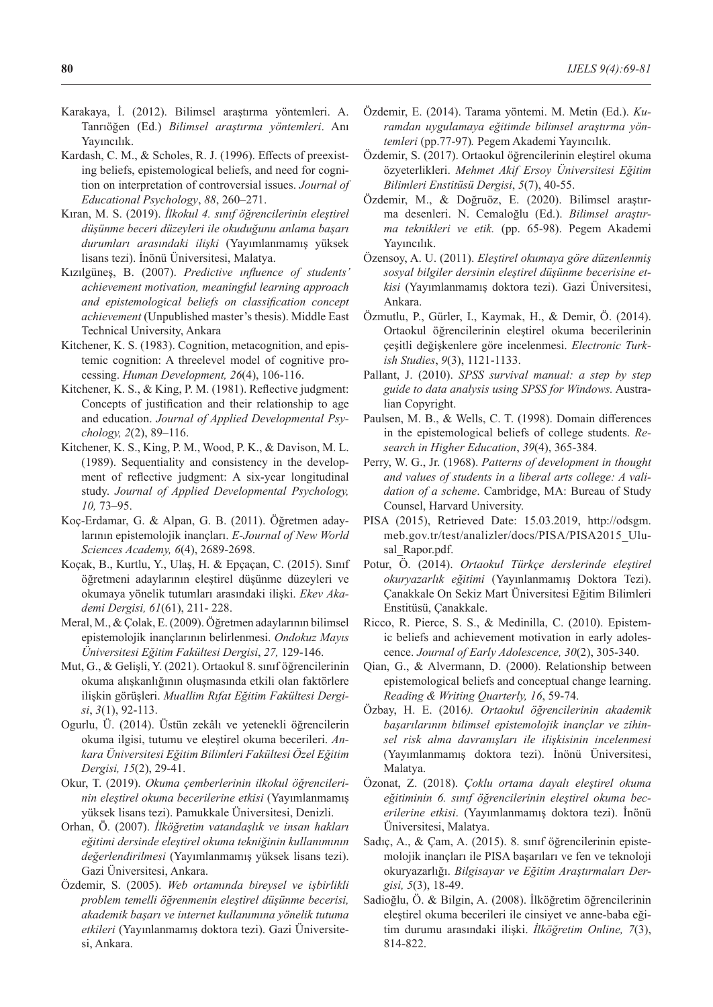- Karakaya, İ. (2012). Bilimsel araştırma yöntemleri. A. Tanrıöğen (Ed.) *Bilimsel araştırma yöntemleri*. Anı Yayıncılık.
- Kardash, C. M., & Scholes, R. J. (1996). Effects of preexisting beliefs, epistemological beliefs, and need for cognition on interpretation of controversial issues. *Journal of Educational Psychology*, *88*, 260–271.
- Kıran, M. S. (2019). *İlkokul 4. sınıf öğrencilerinin eleştirel düşünme beceri düzeyleri ile okuduğunu anlama başarı durumları arasındaki ilişki* (Yayımlanmamış yüksek lisans tezi). İnönü Üniversitesi, Malatya.
- Kızılgüneş, B. (2007). *Predictive ınfluence of students' achievement motivation, meaningful learning approach and epistemological beliefs on classification concept achievement* (Unpublished master's thesis). Middle East Technical University, Ankara
- Kitchener, K. S. (1983). Cognition, metacognition, and epistemic cognition: A threelevel model of cognitive processing. *Human Development, 26*(4), 106-116.
- Kitchener, K. S., & King, P. M. (1981). Reflective judgment: Concepts of justification and their relationship to age and education. *Journal of Applied Developmental Psychology, 2*(2), 89–116.
- Kitchener, K. S., King, P. M., Wood, P. K., & Davison, M. L. (1989). Sequentiality and consistency in the development of reflective judgment: A six-year longitudinal study. *Journal of Applied Developmental Psychology, 10,* 73–95.
- Koç-Erdamar, G. & Alpan, G. B. (2011). Öğretmen adaylarının epistemolojik inançları. *E-Journal of New World Sciences Academy, 6*(4), 2689-2698.
- Koçak, B., Kurtlu, Y., Ulaş, H. & Epçaçan, C. (2015). Sınıf öğretmeni adaylarının eleştirel düşünme düzeyleri ve okumaya yönelik tutumları arasındaki ilişki. *Ekev Akademi Dergisi, 61*(61), 211- 228.
- Meral, M., & Çolak, E. (2009). Öğretmen adaylarının bilimsel epistemolojik inançlarının belirlenmesi. *Ondokuz Mayıs Üniversitesi Eğitim Fakültesi Dergisi*, *27,* 129-146.
- Mut, G., & Gelişli, Y. (2021). Ortaokul 8. sınıf öğrencilerinin okuma alışkanlığının oluşmasında etkili olan faktörlere ilişkin görüşleri. *Muallim Rıfat Eğitim Fakültesi Dergisi*, *3*(1), 92-113.
- Ogurlu, Ü. (2014). Üstün zekâlı ve yetenekli öğrencilerin okuma ilgisi, tutumu ve eleştirel okuma becerileri. *Ankara Üniversitesi Eğitim Bilimleri Fakültesi Özel Eğitim Dergisi, 15*(2), 29-41.
- Okur, T. (2019). *Okuma çemberlerinin ilkokul öğrencilerinin eleştirel okuma becerilerine etkisi* (Yayımlanmamış yüksek lisans tezi). Pamukkale Üniversitesi, Denizli.
- Orhan, Ö. (2007). *İlköğretim vatandaşlık ve insan hakları eğitimi dersinde eleştirel okuma tekniğinin kullanımının değerlendirilmesi* (Yayımlanmamış yüksek lisans tezi). Gazi Üniversitesi, Ankara.
- Özdemir, S. (2005). *Web ortamında bireysel ve işbirlikli problem temelli öğrenmenin eleştirel düşünme becerisi, akademik başarı ve internet kullanımına yönelik tutuma etkileri* (Yayınlanmamış doktora tezi). Gazi Üniversitesi, Ankara.
- Özdemir, E. (2014). Tarama yöntemi. M. Metin (Ed.). *Kuramdan uygulamaya eğitimde bilimsel araştırma yöntemleri* (pp.77-97)*.* Pegem Akademi Yayıncılık.
- Özdemir, S. (2017). Ortaokul öğrencilerinin eleştirel okuma özyeterlikleri. *Mehmet Akif Ersoy Üniversitesi Eğitim Bilimleri Enstitüsü Dergisi*, *5*(7), 40-55.
- Özdemir, M., & Doğruöz, E. (2020). Bilimsel araştırma desenleri. N. Cemaloğlu (Ed.). *Bilimsel araştırma teknikleri ve etik.* (pp. 65-98). Pegem Akademi Yayıncılık.
- Özensoy, A. U. (2011). *Eleştirel okumaya göre düzenlenmiş sosyal bilgiler dersinin eleştirel düşünme becerisine etkisi* (Yayımlanmamış doktora tezi). Gazi Üniversitesi, Ankara.
- Özmutlu, P., Gürler, I., Kaymak, H., & Demir, Ö. (2014). Ortaokul öğrencilerinin eleştirel okuma becerilerinin çeşitli değişkenlere göre incelenmesi. *Electronic Turkish Studies*, *9*(3), 1121-1133.
- Pallant, J. (2010). *SPSS survival manual: a step by step guide to data analysis using SPSS for Windows.* Australian Copyright.
- Paulsen, M. B., & Wells, C. T. (1998). Domain differences in the epistemological beliefs of college students. *Research in Higher Education*, *39*(4), 365-384.
- Perry, W. G., Jr. (1968). *Patterns of development in thought and values of students in a liberal arts college: A validation of a scheme*. Cambridge, MA: Bureau of Study Counsel, Harvard University.
- PISA (2015), Retrieved Date: 15.03.2019, http://odsgm. meb.gov.tr/test/analizler/docs/PISA/PISA2015\_Ulusal Rapor.pdf.
- Potur, Ö. (2014). *Ortaokul Türkçe derslerinde eleştirel okuryazarlık eğitimi* (Yayınlanmamış Doktora Tezi). Çanakkale On Sekiz Mart Üniversitesi Eğitim Bilimleri Enstitüsü, Çanakkale.
- Ricco, R. Pierce, S. S., & Medinilla, C. (2010). Epistemic beliefs and achievement motivation in early adolescence. *Journal of Early Adolescence, 30*(2), 305-340.
- Qian, G., & Alvermann, D. (2000). Relationship between epistemological beliefs and conceptual change learning. *Reading & Writing Quarterly, 16*, 59-74.
- Özbay, H. E. (2016*). Ortaokul öğrencilerinin akademik başarılarının bilimsel epistemolojik inançlar ve zihinsel risk alma davranışları ile ilişkisinin incelenmesi* (Yayımlanmamış doktora tezi). İnönü Üniversitesi, Malatya.
- Özonat, Z. (2018). *Çoklu ortama dayalı eleştirel okuma eğitiminin 6. sınıf öğrencilerinin eleştirel okuma becerilerine etkisi*. (Yayımlanmamış doktora tezi). İnönü Üniversitesi, Malatya.
- Sadıç, A., & Çam, A. (2015). 8. sınıf öğrencilerinin epistemolojik inançları ile PISA başarıları ve fen ve teknoloji okuryazarlığı. *Bilgisayar ve Eğitim Araştırmaları Dergisi, 5*(3), 18-49.
- Sadioğlu, Ö. & Bilgin, A. (2008). İlköğretim öğrencilerinin eleştirel okuma becerileri ile cinsiyet ve anne-baba eğitim durumu arasındaki ilişki. *İlköğretim Online, 7*(3), 814-822.